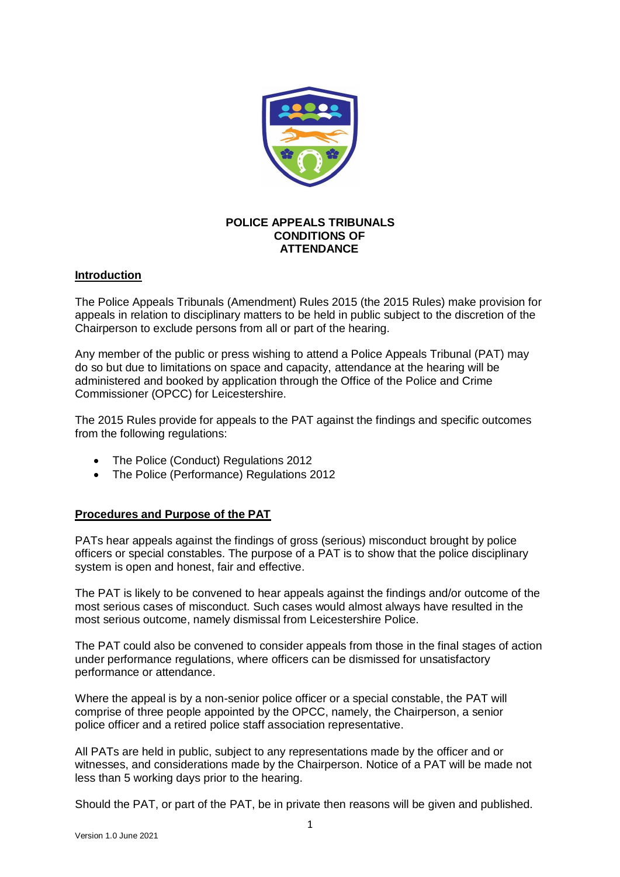

# **POLICE APPEALS TRIBUNALS CONDITIONS OF ATTENDANCE**

## **Introduction**

The Police Appeals Tribunals (Amendment) Rules 2015 (the 2015 Rules) make provision for appeals in relation to disciplinary matters to be held in public subject to the discretion of the Chairperson to exclude persons from all or part of the hearing.

Any member of the public or press wishing to attend a Police Appeals Tribunal (PAT) may do so but due to limitations on space and capacity, attendance at the hearing will be administered and booked by application through the Office of the Police and Crime Commissioner (OPCC) for Leicestershire.

The 2015 Rules provide for appeals to the PAT against the findings and specific outcomes from the following regulations:

- The Police (Conduct) Regulations 2012
- The Police (Performance) Regulations 2012

## **Procedures and Purpose of the PAT**

PATs hear appeals against the findings of gross (serious) misconduct brought by police officers or special constables. The purpose of a PAT is to show that the police disciplinary system is open and honest, fair and effective.

The PAT is likely to be convened to hear appeals against the findings and/or outcome of the most serious cases of misconduct. Such cases would almost always have resulted in the most serious outcome, namely dismissal from Leicestershire Police.

The PAT could also be convened to consider appeals from those in the final stages of action under performance regulations, where officers can be dismissed for unsatisfactory performance or attendance.

Where the appeal is by a non-senior police officer or a special constable, the PAT will comprise of three people appointed by the OPCC, namely, the Chairperson, a senior police officer and a retired police staff association representative.

All PATs are held in public, subject to any representations made by the officer and or witnesses, and considerations made by the Chairperson. Notice of a PAT will be made not less than 5 working days prior to the hearing.

Should the PAT, or part of the PAT, be in private then reasons will be given and published.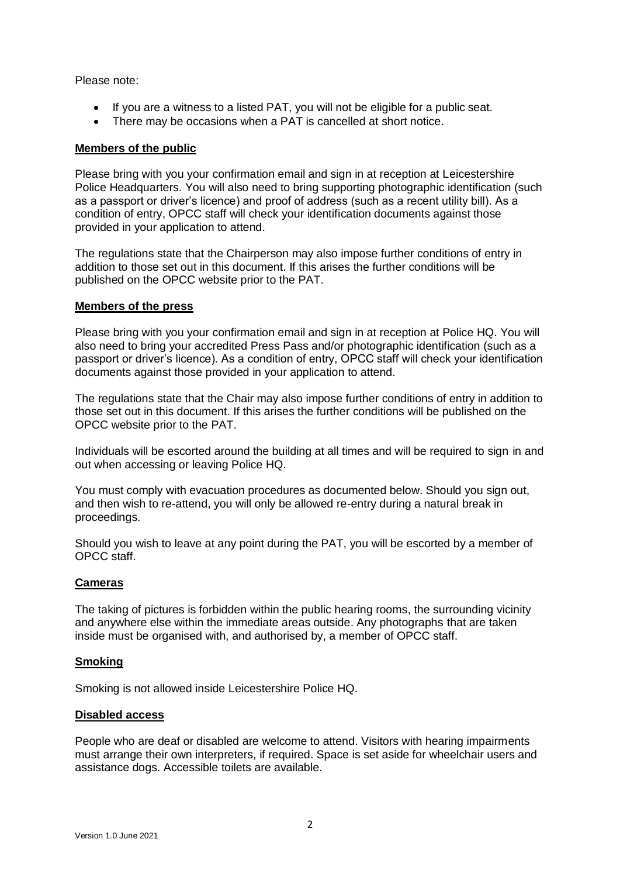Please note:

- If you are a witness to a listed PAT, you will not be eligible for a public seat.
- There may be occasions when a PAT is cancelled at short notice.

#### **Members of the public**

Please bring with you your confirmation email and sign in at reception at Leicestershire Police Headquarters. You will also need to bring supporting photographic identification (such as a passport or driver's licence) and proof of address (such as a recent utility bill). As a condition of entry, OPCC staff will check your identification documents against those provided in your application to attend.

The regulations state that the Chairperson may also impose further conditions of entry in addition to those set out in this document. If this arises the further conditions will be published on the OPCC website prior to the PAT.

#### **Members of the press**

Please bring with you your confirmation email and sign in at reception at Police HQ. You will also need to bring your accredited Press Pass and/or photographic identification (such as a passport or driver's licence). As a condition of entry, OPCC staff will check your identification documents against those provided in your application to attend.

The regulations state that the Chair may also impose further conditions of entry in addition to those set out in this document. If this arises the further conditions will be published on the OPCC website prior to the PAT.

Individuals will be escorted around the building at all times and will be required to sign in and out when accessing or leaving Police HQ.

You must comply with evacuation procedures as documented below. Should you sign out, and then wish to re-attend, you will only be allowed re-entry during a natural break in proceedings.

Should you wish to leave at any point during the PAT, you will be escorted by a member of OPCC staff.

#### **Cameras**

The taking of pictures is forbidden within the public hearing rooms, the surrounding vicinity and anywhere else within the immediate areas outside. Any photographs that are taken inside must be organised with, and authorised by, a member of OPCC staff.

#### **Smoking**

Smoking is not allowed inside Leicestershire Police HQ.

## **Disabled access**

People who are deaf or disabled are welcome to attend. Visitors with hearing impairments must arrange their own interpreters, if required. Space is set aside for wheelchair users and assistance dogs. Accessible toilets are available.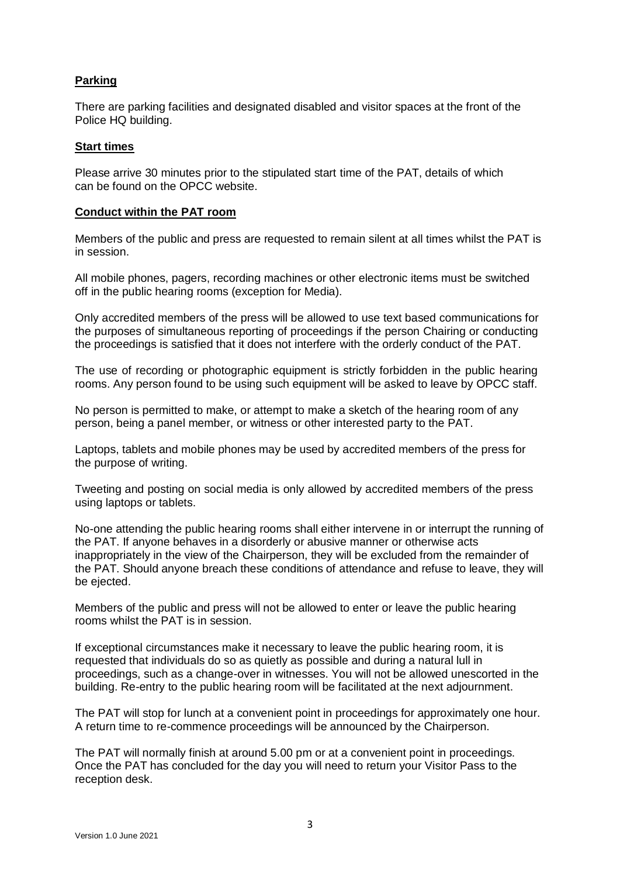# **Parking**

There are parking facilities and designated disabled and visitor spaces at the front of the Police HQ building.

## **Start times**

Please arrive 30 minutes prior to the stipulated start time of the PAT, details of which can be found on the OPCC website.

#### **Conduct within the PAT room**

Members of the public and press are requested to remain silent at all times whilst the PAT is in session.

All mobile phones, pagers, recording machines or other electronic items must be switched off in the public hearing rooms (exception for Media).

Only accredited members of the press will be allowed to use text based communications for the purposes of simultaneous reporting of proceedings if the person Chairing or conducting the proceedings is satisfied that it does not interfere with the orderly conduct of the PAT.

The use of recording or photographic equipment is strictly forbidden in the public hearing rooms. Any person found to be using such equipment will be asked to leave by OPCC staff.

No person is permitted to make, or attempt to make a sketch of the hearing room of any person, being a panel member, or witness or other interested party to the PAT.

Laptops, tablets and mobile phones may be used by accredited members of the press for the purpose of writing.

Tweeting and posting on social media is only allowed by accredited members of the press using laptops or tablets.

No-one attending the public hearing rooms shall either intervene in or interrupt the running of the PAT. If anyone behaves in a disorderly or abusive manner or otherwise acts inappropriately in the view of the Chairperson, they will be excluded from the remainder of the PAT. Should anyone breach these conditions of attendance and refuse to leave, they will be ejected.

Members of the public and press will not be allowed to enter or leave the public hearing rooms whilst the PAT is in session.

If exceptional circumstances make it necessary to leave the public hearing room, it is requested that individuals do so as quietly as possible and during a natural lull in proceedings, such as a change-over in witnesses. You will not be allowed unescorted in the building. Re-entry to the public hearing room will be facilitated at the next adjournment.

The PAT will stop for lunch at a convenient point in proceedings for approximately one hour. A return time to re-commence proceedings will be announced by the Chairperson.

The PAT will normally finish at around 5.00 pm or at a convenient point in proceedings. Once the PAT has concluded for the day you will need to return your Visitor Pass to the reception desk.